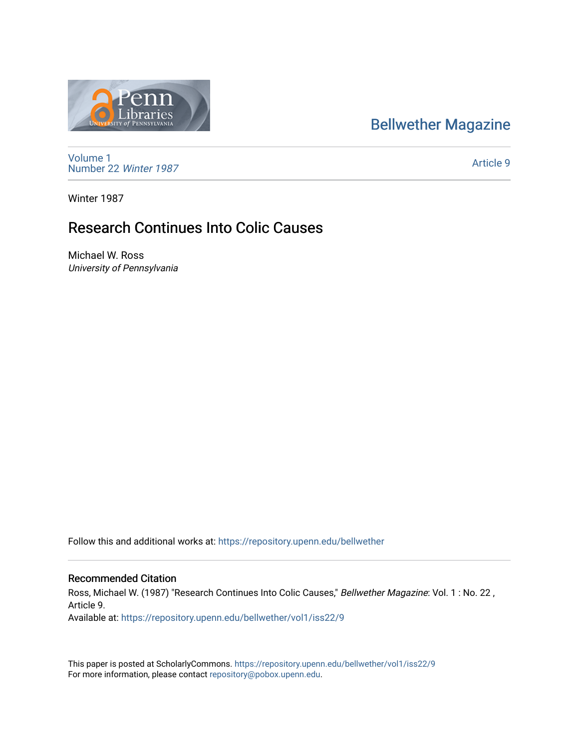## [Bellwether Magazine](https://repository.upenn.edu/bellwether)



[Volume 1](https://repository.upenn.edu/bellwether/vol1) [Number 22](https://repository.upenn.edu/bellwether/vol1/iss22) Winter 1987

[Article 9](https://repository.upenn.edu/bellwether/vol1/iss22/9) 

Winter 1987

## Research Continues Into Colic Causes

Michael W. Ross University of Pennsylvania

Follow this and additional works at: [https://repository.upenn.edu/bellwether](https://repository.upenn.edu/bellwether?utm_source=repository.upenn.edu%2Fbellwether%2Fvol1%2Fiss22%2F9&utm_medium=PDF&utm_campaign=PDFCoverPages) 

## Recommended Citation

Ross, Michael W. (1987) "Research Continues Into Colic Causes," Bellwether Magazine: Vol. 1 : No. 22 , Article 9. Available at: [https://repository.upenn.edu/bellwether/vol1/iss22/9](https://repository.upenn.edu/bellwether/vol1/iss22/9?utm_source=repository.upenn.edu%2Fbellwether%2Fvol1%2Fiss22%2F9&utm_medium=PDF&utm_campaign=PDFCoverPages)

This paper is posted at ScholarlyCommons.<https://repository.upenn.edu/bellwether/vol1/iss22/9> For more information, please contact [repository@pobox.upenn.edu.](mailto:repository@pobox.upenn.edu)